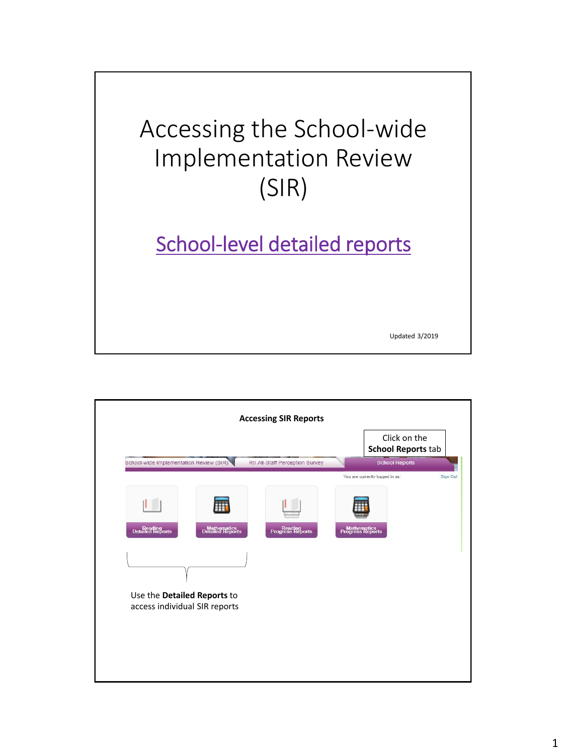

Updated 3/2019

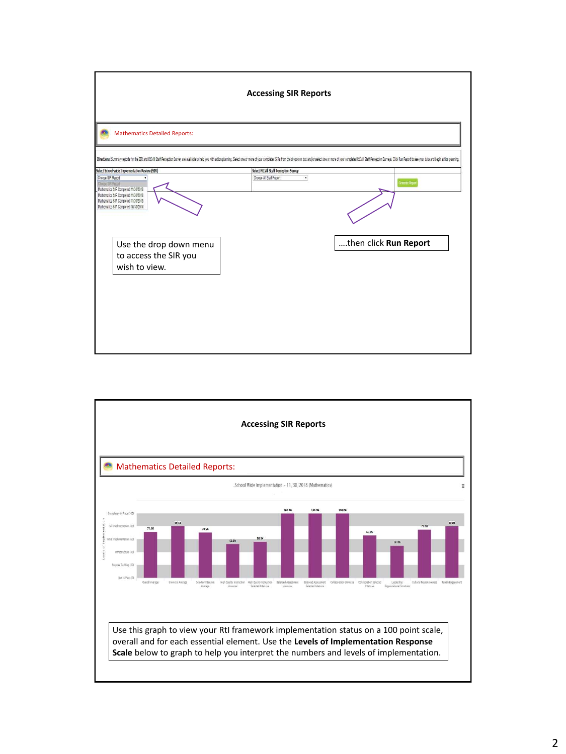

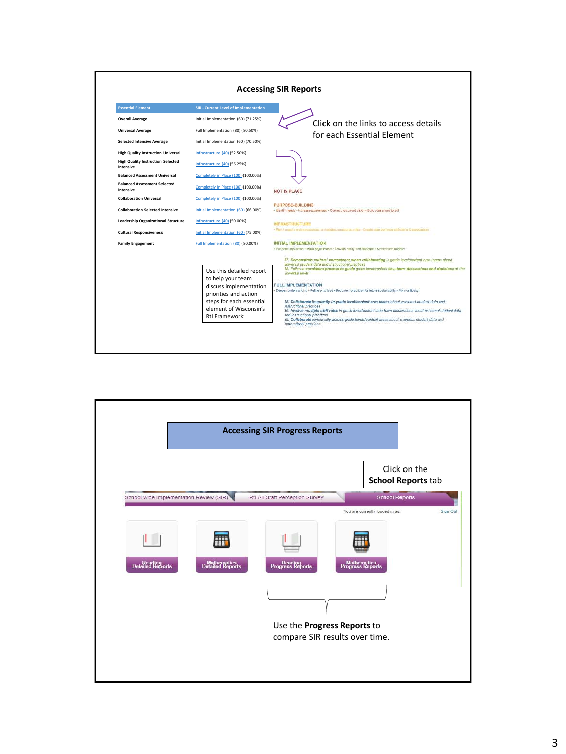

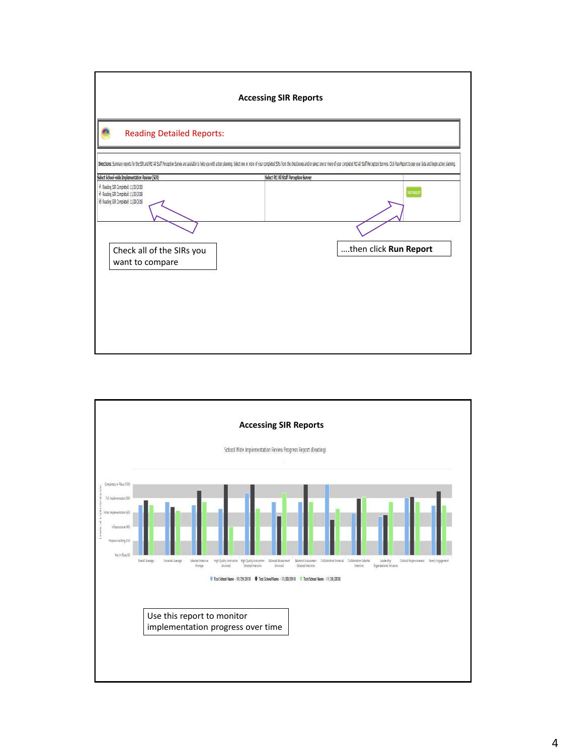

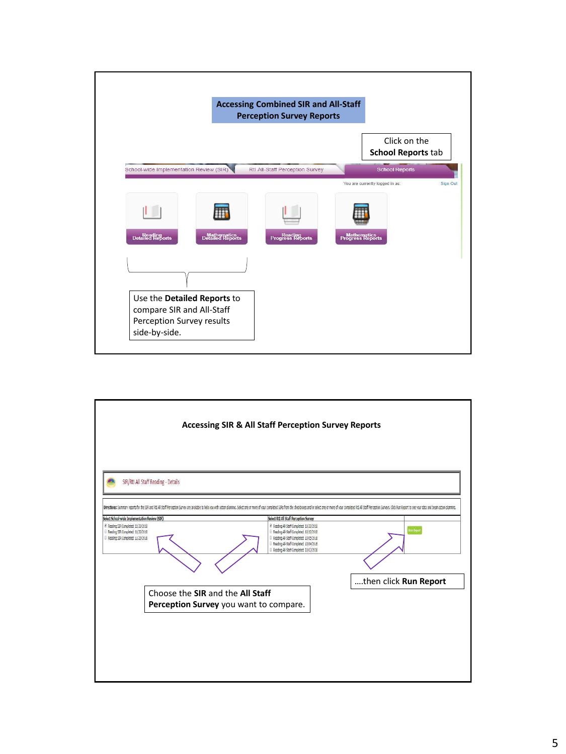